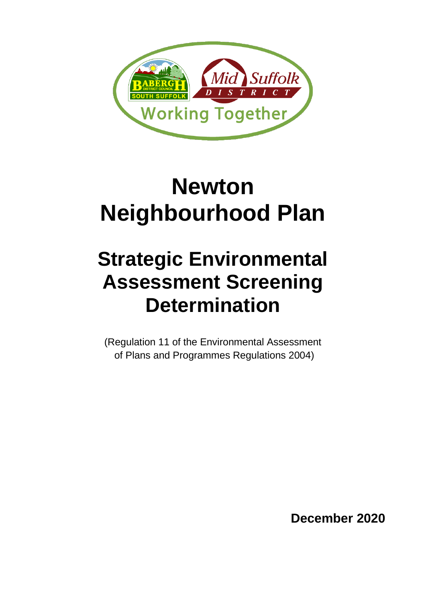

# **Newton Neighbourhood Plan**

## **Strategic Environmental Assessment Screening Determination**

(Regulation 11 of the Environmental Assessment of Plans and Programmes Regulations 2004)

**December 2020**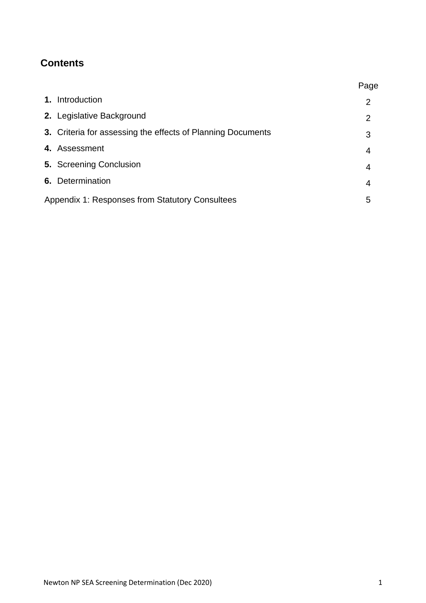### **Contents**

|                                                        |                                                             | Page |
|--------------------------------------------------------|-------------------------------------------------------------|------|
|                                                        | 1. Introduction                                             | 2    |
|                                                        | 2. Legislative Background                                   | 2    |
|                                                        | 3. Criteria for assessing the effects of Planning Documents | 3    |
|                                                        | 4. Assessment                                               | 4    |
|                                                        | <b>5. Screening Conclusion</b>                              | 4    |
|                                                        | 6. Determination                                            | 4    |
| <b>Appendix 1: Responses from Statutory Consultees</b> |                                                             | 5    |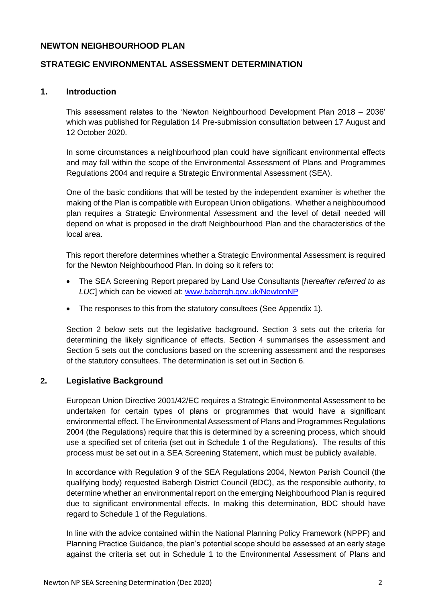#### **NEWTON NEIGHBOURHOOD PLAN**

#### **STRATEGIC ENVIRONMENTAL ASSESSMENT DETERMINATION**

#### **1. Introduction**

This assessment relates to the 'Newton Neighbourhood Development Plan 2018 – 2036' which was published for Regulation 14 Pre-submission consultation between 17 August and 12 October 2020.

In some circumstances a neighbourhood plan could have significant environmental effects and may fall within the scope of the Environmental Assessment of Plans and Programmes Regulations 2004 and require a Strategic Environmental Assessment (SEA).

One of the basic conditions that will be tested by the independent examiner is whether the making of the Plan is compatible with European Union obligations. Whether a neighbourhood plan requires a Strategic Environmental Assessment and the level of detail needed will depend on what is proposed in the draft Neighbourhood Plan and the characteristics of the local area.

This report therefore determines whether a Strategic Environmental Assessment is required for the Newton Neighbourhood Plan. In doing so it refers to:

- The SEA Screening Report prepared by Land Use Consultants [*hereafter referred to as LUC*] which can be viewed at: [www.babergh.gov.uk/NewtonNP](http://www.babergh.gov.uk/NewtonNP)
- The responses to this from the statutory consultees (See Appendix 1).

Section 2 below sets out the legislative background. Section 3 sets out the criteria for determining the likely significance of effects. Section 4 summarises the assessment and Section 5 sets out the conclusions based on the screening assessment and the responses of the statutory consultees. The determination is set out in Section 6.

#### **2. Legislative Background**

European Union Directive 2001/42/EC requires a Strategic Environmental Assessment to be undertaken for certain types of plans or programmes that would have a significant environmental effect. The Environmental Assessment of Plans and Programmes Regulations 2004 (the Regulations) require that this is determined by a screening process, which should use a specified set of criteria (set out in Schedule 1 of the Regulations). The results of this process must be set out in a SEA Screening Statement, which must be publicly available.

In accordance with Regulation 9 of the SEA Regulations 2004, Newton Parish Council (the qualifying body) requested Babergh District Council (BDC), as the responsible authority, to determine whether an environmental report on the emerging Neighbourhood Plan is required due to significant environmental effects. In making this determination, BDC should have regard to Schedule 1 of the Regulations.

In line with the advice contained within the National Planning Policy Framework (NPPF) and Planning Practice Guidance, the plan's potential scope should be assessed at an early stage against the criteria set out in Schedule 1 to the Environmental Assessment of Plans and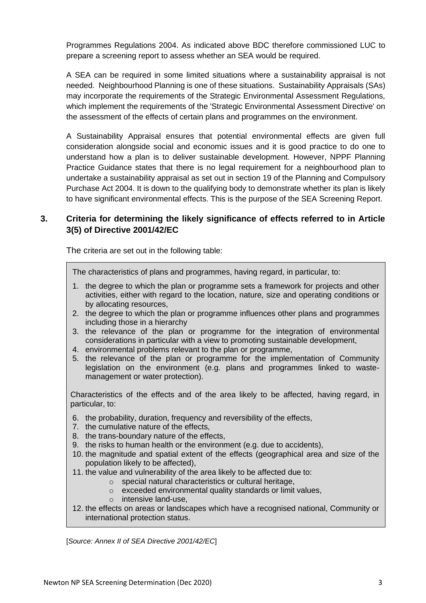Programmes Regulations 2004. As indicated above BDC therefore commissioned LUC to prepare a screening report to assess whether an SEA would be required.

A SEA can be required in some limited situations where a sustainability appraisal is not needed. Neighbourhood Planning is one of these situations. Sustainability Appraisals (SAs) may incorporate the requirements of the Strategic Environmental Assessment Regulations, which implement the requirements of the 'Strategic Environmental Assessment Directive' on the assessment of the effects of certain plans and programmes on the environment.

A Sustainability Appraisal ensures that potential environmental effects are given full consideration alongside social and economic issues and it is good practice to do one to understand how a plan is to deliver sustainable development. However, NPPF Planning Practice Guidance states that there is no legal requirement for a neighbourhood plan to undertake a sustainability appraisal as set out in section 19 of the Planning and Compulsory Purchase Act 2004. It is down to the qualifying body to demonstrate whether its plan is likely to have significant environmental effects. This is the purpose of the SEA Screening Report.

#### **3. Criteria for determining the likely significance of effects referred to in Article 3(5) of Directive 2001/42/EC**

The criteria are set out in the following table:

The characteristics of plans and programmes, having regard, in particular, to:

- 1. the degree to which the plan or programme sets a framework for projects and other activities, either with regard to the location, nature, size and operating conditions or by allocating resources,
- 2. the degree to which the plan or programme influences other plans and programmes including those in a hierarchy
- 3. the relevance of the plan or programme for the integration of environmental considerations in particular with a view to promoting sustainable development,
- 4. environmental problems relevant to the plan or programme,
- 5. the relevance of the plan or programme for the implementation of Community legislation on the environment (e.g. plans and programmes linked to wastemanagement or water protection).

Characteristics of the effects and of the area likely to be affected, having regard, in particular, to:

- 6. the probability, duration, frequency and reversibility of the effects,
- 7. the cumulative nature of the effects,
- 8. the trans-boundary nature of the effects,
- 9. the risks to human health or the environment (e.g. due to accidents),
- 10. the magnitude and spatial extent of the effects (geographical area and size of the population likely to be affected),
- 11. the value and vulnerability of the area likely to be affected due to:
	- o special natural characteristics or cultural heritage,
	- o exceeded environmental quality standards or limit values,
	- o intensive land-use,
- 12. the effects on areas or landscapes which have a recognised national, Community or international protection status.

[*Source: Annex II of SEA Directive 2001/42/EC*]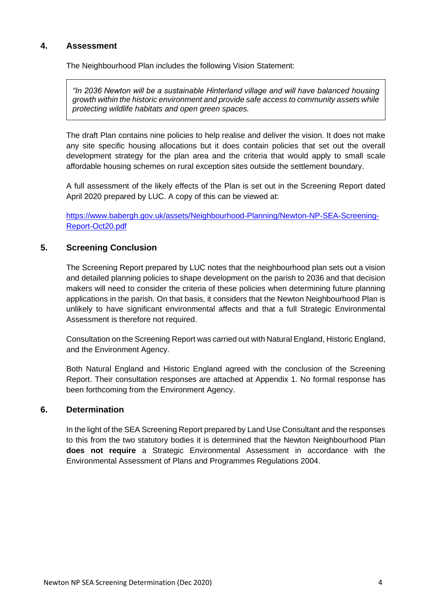#### **4. Assessment**

The Neighbourhood Plan includes the following Vision Statement:

*"In 2036 Newton will be a sustainable Hinterland village and will have balanced housing growth within the historic environment and provide safe access to community assets while protecting wildlife habitats and open green spaces.* 

The draft Plan contains nine policies to help realise and deliver the vision. It does not make any site specific housing allocations but it does contain policies that set out the overall development strategy for the plan area and the criteria that would apply to small scale affordable housing schemes on rural exception sites outside the settlement boundary.

A full assessment of the likely effects of the Plan is set out in the Screening Report dated April 2020 prepared by LUC. A copy of this can be viewed at:

[https://www.babergh.gov.uk/assets/Neighbourhood-Planning/Newton-NP-SEA-Screening-](https://www.babergh.gov.uk/assets/Neighbourhood-Planning/Newton-NP-SEA-Screening-Report-Oct20.pdf)[Report-Oct20.pdf](https://www.babergh.gov.uk/assets/Neighbourhood-Planning/Newton-NP-SEA-Screening-Report-Oct20.pdf)

#### **5. Screening Conclusion**

The Screening Report prepared by LUC notes that the neighbourhood plan sets out a vision and detailed planning policies to shape development on the parish to 2036 and that decision makers will need to consider the criteria of these policies when determining future planning applications in the parish. On that basis, it considers that the Newton Neighbourhood Plan is unlikely to have significant environmental affects and that a full Strategic Environmental Assessment is therefore not required.

Consultation on the Screening Report was carried out with Natural England, Historic England, and the Environment Agency.

Both Natural England and Historic England agreed with the conclusion of the Screening Report. Their consultation responses are attached at Appendix 1. No formal response has been forthcoming from the Environment Agency.

#### **6. Determination**

In the light of the SEA Screening Report prepared by Land Use Consultant and the responses to this from the two statutory bodies it is determined that the Newton Neighbourhood Plan **does not require** a Strategic Environmental Assessment in accordance with the Environmental Assessment of Plans and Programmes Regulations 2004.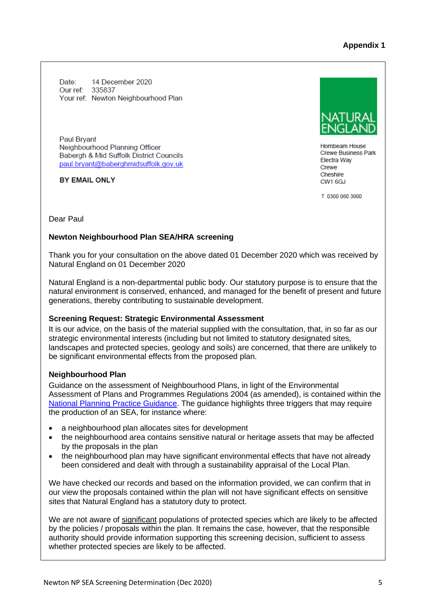**Appendix 1**

Date: 14 December 2020 Our ref: 335837 Your ref: Newton Neighbourhood Plan

**Paul Brvant** Neighbourhood Planning Officer Babergh & Mid Suffolk District Councils paul.bryant@baberghmidsuffolk.gov.uk

**BY EMAIL ONLY** 

Hornbeam House **Crewe Business Park Electra Wav** Crewe Cheshire CW1 6GJ

T 0300 060 3900

Dear Paul

#### **Newton Neighbourhood Plan SEA/HRA screening**

Thank you for your consultation on the above dated 01 December 2020 which was received by Natural England on 01 December 2020

Natural England is a non-departmental public body. Our statutory purpose is to ensure that the natural environment is conserved, enhanced, and managed for the benefit of present and future generations, thereby contributing to sustainable development.

#### **Screening Request: Strategic Environmental Assessment**

It is our advice, on the basis of the material supplied with the consultation, that, in so far as our strategic environmental interests (including but not limited to statutory designated sites, landscapes and protected species, geology and soils) are concerned, that there are unlikely to be significant environmental effects from the proposed plan.

#### **Neighbourhood Plan**

Guidance on the assessment of Neighbourhood Plans, in light of the Environmental Assessment of Plans and Programmes Regulations 2004 (as amended), is contained within the [National Planning Practice Guidance.](https://www.gov.uk/guidance/strategic-environmental-assessment-and-sustainability-appraisal) The guidance highlights three triggers that may require the production of an SEA, for instance where:

- a neighbourhood plan allocates sites for development
- the neighbourhood area contains sensitive natural or heritage assets that may be affected by the proposals in the plan
- the neighbourhood plan may have significant environmental effects that have not already been considered and dealt with through a sustainability appraisal of the Local Plan.

We have checked our records and based on the information provided, we can confirm that in our view the proposals contained within the plan will not have significant effects on sensitive sites that Natural England has a statutory duty to protect.

We are not aware of significant populations of protected species which are likely to be affected by the policies / proposals within the plan. It remains the case, however, that the responsible authority should provide information supporting this screening decision, sufficient to assess whether protected species are likely to be affected.

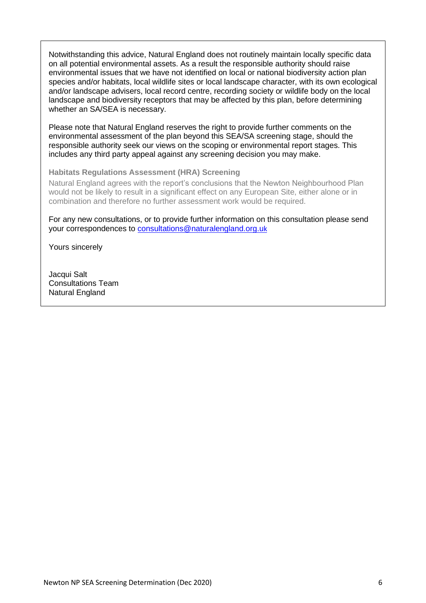Notwithstanding this advice, Natural England does not routinely maintain locally specific data on all potential environmental assets. As a result the responsible authority should raise environmental issues that we have not identified on local or national biodiversity action plan species and/or habitats, local wildlife sites or local landscape character, with its own ecological and/or landscape advisers, local record centre, recording society or wildlife body on the local landscape and biodiversity receptors that may be affected by this plan, before determining whether an SA/SEA is necessary.

Please note that Natural England reserves the right to provide further comments on the environmental assessment of the plan beyond this SEA/SA screening stage, should the responsible authority seek our views on the scoping or environmental report stages. This includes any third party appeal against any screening decision you may make.

#### **Habitats Regulations Assessment (HRA) Screening**

Natural England agrees with the report's conclusions that the Newton Neighbourhood Plan would not be likely to result in a significant effect on any European Site, either alone or in combination and therefore no further assessment work would be required.

For any new consultations, or to provide further information on this consultation please send your correspondences to [consultations@naturalengland.org.u](mailto:consultations@naturalengland.org.uk)[k](mailto:consultations@naturalengland.org.uk)

Yours sincerely

Jacqui Salt Consultations Team Natural England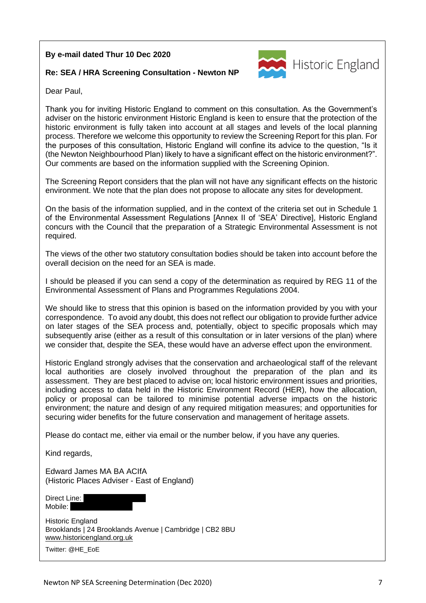#### **By e-mail dated Thur 10 Dec 2020**

#### **Re: SEA / HRA Screening Consultation - Newton NP**



Dear Paul,

Thank you for inviting Historic England to comment on this consultation. As the Government's adviser on the historic environment Historic England is keen to ensure that the protection of the historic environment is fully taken into account at all stages and levels of the local planning process. Therefore we welcome this opportunity to review the Screening Report for this plan. For the purposes of this consultation, Historic England will confine its advice to the question, "Is it (the Newton Neighbourhood Plan) likely to have a significant effect on the historic environment?". Our comments are based on the information supplied with the Screening Opinion.

The Screening Report considers that the plan will not have any significant effects on the historic environment. We note that the plan does not propose to allocate any sites for development.

On the basis of the information supplied, and in the context of the criteria set out in Schedule 1 of the Environmental Assessment Regulations [Annex II of 'SEA' Directive], Historic England concurs with the Council that the preparation of a Strategic Environmental Assessment is not required.

The views of the other two statutory consultation bodies should be taken into account before the overall decision on the need for an SEA is made.

I should be pleased if you can send a copy of the determination as required by REG 11 of the Environmental Assessment of Plans and Programmes Regulations 2004.

We should like to stress that this opinion is based on the information provided by you with your correspondence. To avoid any doubt, this does not reflect our obligation to provide further advice on later stages of the SEA process and, potentially, object to specific proposals which may subsequently arise (either as a result of this consultation or in later versions of the plan) where we consider that, despite the SEA, these would have an adverse effect upon the environment.

Historic England strongly advises that the conservation and archaeological staff of the relevant local authorities are closely involved throughout the preparation of the plan and its assessment. They are best placed to advise on; local historic environment issues and priorities, including access to data held in the Historic Environment Record (HER), how the allocation, policy or proposal can be tailored to minimise potential adverse impacts on the historic environment; the nature and design of any required mitigation measures; and opportunities for securing wider benefits for the future conservation and management of heritage assets.

Please do contact me, either via email or the number below, if you have any queries.

Kind regards,

Edward James MA BA ACIfA (Historic Places Adviser - East of England)

Direct Line: Mobile:

Historic England Brooklands | 24 Brooklands Avenue | Cambridge | CB2 8BU [www.historicengland.org.uk](http://www.historicengland.org.uk/)

Twitter: @HE\_EoE